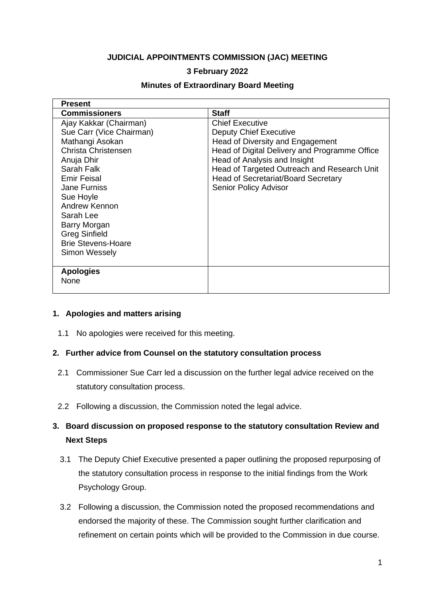## **JUDICIAL APPOINTMENTS COMMISSION (JAC) MEETING**

## **3 February 2022**

| <b>Present</b>                                                                                                                                                                                                                                                                                         |                                                                                                                                                                                                                                                                                                    |
|--------------------------------------------------------------------------------------------------------------------------------------------------------------------------------------------------------------------------------------------------------------------------------------------------------|----------------------------------------------------------------------------------------------------------------------------------------------------------------------------------------------------------------------------------------------------------------------------------------------------|
| <b>Commissioners</b>                                                                                                                                                                                                                                                                                   | <b>Staff</b>                                                                                                                                                                                                                                                                                       |
| Ajay Kakkar (Chairman)<br>Sue Carr (Vice Chairman)<br>Mathangi Asokan<br>Christa Christensen<br>Anuja Dhir<br>Sarah Falk<br><b>Emir Feisal</b><br><b>Jane Furniss</b><br>Sue Hoyle<br>Andrew Kennon<br>Sarah Lee<br>Barry Morgan<br><b>Greg Sinfield</b><br><b>Brie Stevens-Hoare</b><br>Simon Wessely | <b>Chief Executive</b><br><b>Deputy Chief Executive</b><br>Head of Diversity and Engagement<br>Head of Digital Delivery and Programme Office<br>Head of Analysis and Insight<br>Head of Targeted Outreach and Research Unit<br><b>Head of Secretariat/Board Secretary</b><br>Senior Policy Advisor |
| <b>Apologies</b><br><b>None</b>                                                                                                                                                                                                                                                                        |                                                                                                                                                                                                                                                                                                    |
|                                                                                                                                                                                                                                                                                                        |                                                                                                                                                                                                                                                                                                    |

#### **Minutes of Extraordinary Board Meeting**

#### **1. Apologies and matters arising**

1.1 No apologies were received for this meeting.

#### **2. Further advice from Counsel on the statutory consultation process**

- 2.1 Commissioner Sue Carr led a discussion on the further legal advice received on the statutory consultation process.
- 2.2 Following a discussion, the Commission noted the legal advice.

# **3. Board discussion on proposed response to the statutory consultation Review and Next Steps**

- 3.1 The Deputy Chief Executive presented a paper outlining the proposed repurposing of the statutory consultation process in response to the initial findings from the Work Psychology Group.
- 3.2 Following a discussion, the Commission noted the proposed recommendations and endorsed the majority of these. The Commission sought further clarification and refinement on certain points which will be provided to the Commission in due course.